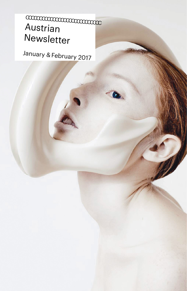# Austrian Newsletter CCCCCCCCCCCCCCCCCCCCCCCCCCCC

January & February 2017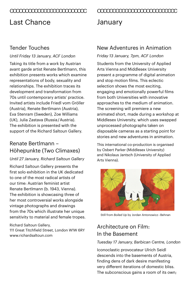## Last Chance

#### Tender Touches

#### *Until Friday 13 January, ACF London*

Taking its title from a work by Austrian avant garde artist Renate Bertlmann, this exhibition presents works which examine representations of body, sexuality and relationships. The exhibition traces its development and transformation from 70s until contemporary artists' practice. Invited artists include Friedl vom Gröller (Austria), Renate Bertlmann (Austria), Eva Stenram (Sweden), Zoe Williams (UK), Julia Zastava (Russia / Austria). The exhibition is presented with the support of the Richard Saltoun Gallery.

## Renate Bertlmann – Höhepunkte (Two Climaxes)

#### *Until 27 January, Richard Saltoun Gallery*

Richard Saltoun Gallery presents the first solo exhibition in the UK dedicated to one of the most radical artists of our time: Austrian feminist artist Renate Bertlmann (b. 1943, Vienna). The exhibition is showcasing three of her most controversial works alongside vintage photographs and drawings from the 70s which illustrate her unique sensitivity to material and female tropes.

Richard Saltoun Gallery, 111 Great Titchfield Street, London W1W 6RY [www.richardsaltoun.com](http://www.richardsaltoun.com) 

# CCCCCCCCCCCCCCCCCCCCCCCCC CCCCCCCCCCCCCCCCCCCCCCCCCC January

#### New Adventures in Animation

#### *Friday 13 January, 7pm, ACF London*

Students from the University of Applied Arts Vienna and Middlesex University present a programme of digital animation and stop motion films. This eclectic selection shows the most exciting, engaging and emotionally powerful films from both Universities with innovative approaches to the medium of animation. The screening will premiere a new animated short, made during a workshop at Middlesex University, which uses swapped unprocessed photographs taken on disposable cameras as a starting point for stories and new adventures in animation.

This international co-production is organised by Osbert Parker (Middlesex University) and Nikolaus Jantsch (University of Applied Arts Vienna).



Still from *Boiled Up* by Jordan Antonowicz – Behnan

## Architecture on Film: In the Basement

#### *Tuesday 17 January, Barbican Centre, London*

Iconoclastic provocateur Ulrich Seidl descends into the basements of Austria, finding dens of dark desire manifesting very different iterations of domestic bliss. The subconscious gains a room of its own;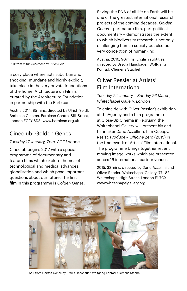

Still from *In the Basement* by Ulrich Seidl

a cosy place where acts suburban and shocking, mundane and highly explicit. take place in the very private foundations of the home. Architecture on Film is curated by the Architecture Foundation, in partnership with the Barbican.

Austria 2014, 85 mins, directed by Ulrich Seidl. Barbican Cinema, Barbican Centre, Silk Street, London EC2Y 8DS, [www.barbican.org.uk](http://www.barbican.org.uk)

#### Cineclub: Golden Genes

#### *Tuesday 17 January, 7pm, ACF London*

Cineclub begins 2017 with a special programme of documentary and feature films which explore themes of technological and medical advances, globalisation and which pose important questions about our future. The first film in this programme is *Golden Genes*.

Saving the DNA of all life on Earth will be one of the greatest international research projects of the coming decades. *Golden Genes* – part nature film, part political documentary – demonstrates the extent to which biodiversity research is not only challenging human society but also our very conception of humankind.

Austria, 2016, 90 mins, English subtitles, directed by Ursula Hansbauer, Wolfgang Konrad, Clemens Stachel

### Oliver Ressler at Artists' Film International

*Tuesday 24 January – Sunday 26 March, Whitechapel Gallery, London*

To coincide with Oliver Ressler's exhibition at theAgency and a film programme at Close-Up Cinema in February, the Whitechapel Gallery will present his and filmmaker Dario Azzellini's film *Occupy, Resist, Produce – Officine Zero* (2015) in the framework of Artists' Film International. The programme brings together recent moving image works which are presented across 16 international partner venues.

2015, 33 mins, directed by Dario Azzellini and Oliver Ressler. Whitechapel Gallery, 77 – 82 Whitechapel High Street, London E1 7QX [www.whitechapelgallery.org](http://www.whitechapelgallery.org)



Still from *Golden Genes* by Ursula Hansbauer, Wolfgang Konrad, Clemens Stachel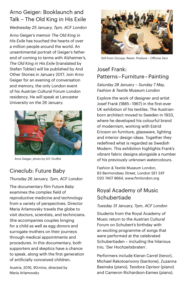## Arno Geiger: Booklaunch and Talk – The Old King in His Exile

#### *Wednesday 25 January, 7pm, ACF London*

Arno Geiger's memoir *The Old King in His Exile* has touched the hearts of over a million people around the world. An unsentimental portrait of Geiger's father and of coming to terms with Alzheimer's, *The Old King in His Exile* (translated by Stefan Tobler) will be published by And Other Stories in January 2017. Join Arno Geiger for an evening of conversation and memory, the only London event of his Austrian Cultural Forum London residency. He will speak at Lancaster University on the 26 January.



Arno Geiger, photo by D.P. Gruffot

## Cineclub: Future Baby

#### *Thursday 26 January, 7pm, ACF London*

The documentary film *Future Baby* examines the complex field of reproductive medicine and technology from a variety of perspectives. Director Maria Arlamovsky travels the globe to visit doctors, scientists, and technicians. She accompanies couples longing for a child as well as egg donors and surrogate mothers on their journeys through medical appointments and procedures. In this documentary, both supporters and skeptics have a chance to speak, along with the first generation of artificially conceived children.

Austria, 2016, 90 mins, directed by Maria Arlamovsky



Still from *Occupy, Resist, Produce – Officine Zero*

## Josef Frank: Patterns – Furniture – Painting

*Saturday 28 January – Sunday 7 May, Fashion & Textile Museum London*

Explore the work of designer and artist Josef Frank (1885 – 1967) in the first-ever UK exhibition of his textiles. The Austrianborn architect moved to Sweden in 1933, where he developed his colourful brand of modernism, working with Estrid Ericson on furniture, glassware, lighting and interior design ideas. Together they redefined what is regarded as Swedish Modern. This exhibition highlights Frank's vibrant fabric designs alongside a number of his previously unknown watercolours.

Fashion & Textile Museum London, 83 Bermondsey Street, London SE1 3XF 020 7407 8664, [www.ftmlondon.org](http://www.ftmlondon.org)

## Royal Academy of Music Schubertiade

#### *Tuesday 31 January, 7pm, ACF London*

Students from the Royal Academy of Music return to the Austrian Cultural Forum on Schubert's birthday with an exciting programme of songs that were performed at the celebrated Schubertiaden – including the hilarious trio, 'Der Hochzeitsbraten'.

Performers include Kieran Carrel (tenor), Michael Rakotoarivony (baritone), Zuzanna Basinska (piano), Teodora Oprisor (piano) and Cameron Richardson-Eames (piano).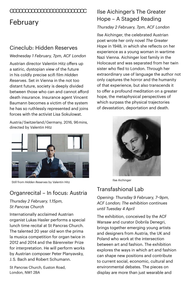# February CCCCCCCCCCCCCCCCCCCCCCCCC

## Cineclub: Hidden Reserves

#### *Wednesday 1 February, 7pm, ACF London*

Austrian director Valentin Hitz offers up a satiric, dystopian view of the future in his coldly precise scifi film *Hidden Reserves*. Set in Vienna in the not too distant future, society is deeply divided between those who can and cannot afford death insurance. Insurance agent Vincent Baumann becomes a victim of the system he has so ruthlessly represented and joins forces with the activist Lisa Sokulowat.

Austria / Switzerland / Germany, 2016, 96 mins, directed by Valentin Hitz



### Organrecital – In focus: Austria

*Thursday 2 February, 1.15pm, St Pancras Church*

Internationally acclaimed Austrian organist Lukas Hasler performs a special lunch time recital at St Pancras Church. The talented 20 year old won the prima la musica competition for organ twice in 2012 and 2014 and the Bärenreiter Prize for interpretation. He will perform works by Austrian composer Peter Planyavsky, J. S. Bach and Robert Schumann.

St Pancras Church, Euston Road, London, NW1 2BA

## Ilse Aichinger's The Greater Hope – A Staged Reading

#### *Thursday 2 February, 7pm, ACF London*

Ilse Aichinger, the celebrated Austrian poet wrote her only novel *The Greater Hope* in 1948, in which she reflects on her experience as a young woman in wartime Nazi Vienna. Aichinger lost family in the Holocaust and was separated from her twin sister who fled to London. Through her extraordinary use of language the author not only captures the horror and the humanity of that experience, but also transcends it to offer a profound meditation on a greater hope, the metaphysical perspectives of which surpass the physical trajectories of devastation, deportation and death.



## Transfashional Lab

*Opening: Thursday 9 February, 7–9pm, ACF London; The exhibition continues until Tuesday 4 April*

The exhibition, conceived by the ACF Warsaw and curator Dobrila Denegri, brings together emerging young artists and designers from Austria, the UK and Poland who work at the intersection between art and fashion. The exhibition explores the ways in which art and fashion can shape new positions and contribute to current social, economic, cultural and environmental debates. The pieces on display are more than just wearable and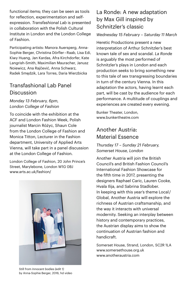functional items; they can be seen as tools for reflection, experimentation and selfexpression. *Transfashional Lab* is presented in collaboration with the Polish Cultural Institute in London and the London College of Fashion.

Participating artists: Manora Auersperg, Anna-Sophie Berger, Christina Dörfler – Raab, Lisa Edi, Kiwy Huang, Jan Kardas, Afra Kirchdorfer, Kate Langrish-Smith, Maximilian Mauracher, Janusz Noiewicz, Ana Rajčević, Anna Schwarz, Radek Smędzik, Lara Torres, Daria Wierzbicka

#### Transfashional Lab Panel Discussion

*Monday 13 February, 6pm, London College of Fashion* 

To coincide with the exhibition at the ACF and London Fashion Week, Polish journalist Marcin Różyc, Shaun Cole from the London College of Fashion and Monica Titton, Lecturer in the Fashion department, University of Applied Arts Vienna, will take part in a panel discussion at the London College of Fashion.

London College of Fashion, 20 John Prince's Street, Marylebone, London W1G 0BJ [www.arts.ac.uk/fashion/](http://www.arts.ac.uk/fashion/)



Still from *Innocent bodies (edit 1)*  by Anna-Sophie Berger, 2016, hd video

## La Ronde: A new adaptation by Max Gill inspired by Schnitzler's classic

#### *Wednesday 15 February – Saturday 11 March*

Heretic Productions present a new interpretation of Arthur Schnitzler's best known tale of sex and scandal. *La Ronde* is arguably the most performed of Schnitzler's plays in London and each production seeks to bring something new to this tale of sex transgressing boundaries in turn of the century Vienna. In this adaptation the actors, having learnt each part, will be cast by the audience for each performance. A multitude of couplings and experiences are created every evening.

Bunker Theater, London, [www.bunkertheatre.com](http://www.bunkertheatre.com)

#### Another Austria: Material Essence

#### *Thursday 17 – Sunday 21 February, Somerset House, London*

Another Austria will join the British Council's and British Fashion Council's International Fashion Showcase for the fifth time in 2017, presenting the designers Raphael Caric, Lauren Cooke, Hvala Ilija, and Sabrina Stadlober. In keeping with this year's theme Local / Global, Another Austria will explore the richness of Austrian craftsmanship, and the way it interacts with universal modernity. Seeking an interplay between history and contemporary practices, the Austrian display aims to show the continuation of Austrian fashion and handicraft.

Somerset House, Strand, London, SC2R 1LA [www.somersethouse.org.uk](http://www.somersethouse.org.uk) [www.anotheraustria.com](http://www.anotheraustria.com)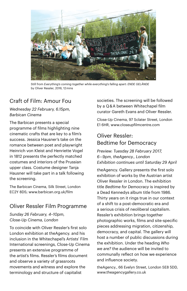

Still from *Everything's coming together while everything's falling apart: ENDE GELÄNDE* by Oliver Ressler, 2016, 12 mins

## Craft of Film: Amour Fou

#### *Wednesday 22 February, 6.15pm, Barbican Cinema*

The Barbican presents a special programme of films highlighting nine cinematic crafts that are key to a film's success. Jessica Hausner's take on the romance between poet and playwright Heinrich von Kleist and Henriette Vogel in 1812 presents the perfectly matched costumes and interiors of the Prussian upper class. Costume designer Tanja Hausner will take part in a talk following the screening.

The Barbican Cinema, Silk Street, London EC2Y 8DS; www.barbican.org.uk/film

#### Oliver Ressler Film Programme

*Sunday 26 February, 4–10pm, Close-Up Cinema, London*

To coincide with Oliver Ressler's first solo London exhibition at theAgency. and his inclusion in the Whitechapel's Artists' Film International screenings, Close-Up Cinema presents an extensive programme of the artist's films. Ressler's films document and observe a variety of grassroots movements and witness and explore the terminology and structure of capitalist

societies. The screening will be followed by a Q & A between Whitechapel film curator Gareth Evans and Oliver Ressler.

Close-Up Cinema, 97 Sclater Street, London E1 6HR, [www.closeupfilmcentre.com](http://www.closeupfilmcentre.com)

### Oliver Ressler: Bedtime for Democracy

*Preview: Tuesday 28 February 2017, 6 – 9pm, theAgency., London Exhibition continues until Saturday 29 April*

theAgency. Gallery presents the first solo exhibition of works by the Austrian artist Oliver Ressler in London. The exhibition title *Bedtime for Democracy* is inspired by a Dead Kennedys album title from 1986. Thirty years on it rings true in our context of a shift to a post-democratic era and a serious crisis of neoliberal capitalism. Ressler's exhibition brings together photographic works, films and site-specific pieces addressing migration, citizenship, democracy, and capital. The gallery will host a number of public discussions during the exhibition. Under the heading *Who we are?* the audience will be invited to communally reflect on how we experience and influence society.

theAgency., 66 Evelyn Street, London SE8 5DD, [www.theagencygallery.co.uk](http://www.theagencygallery.co.uk)